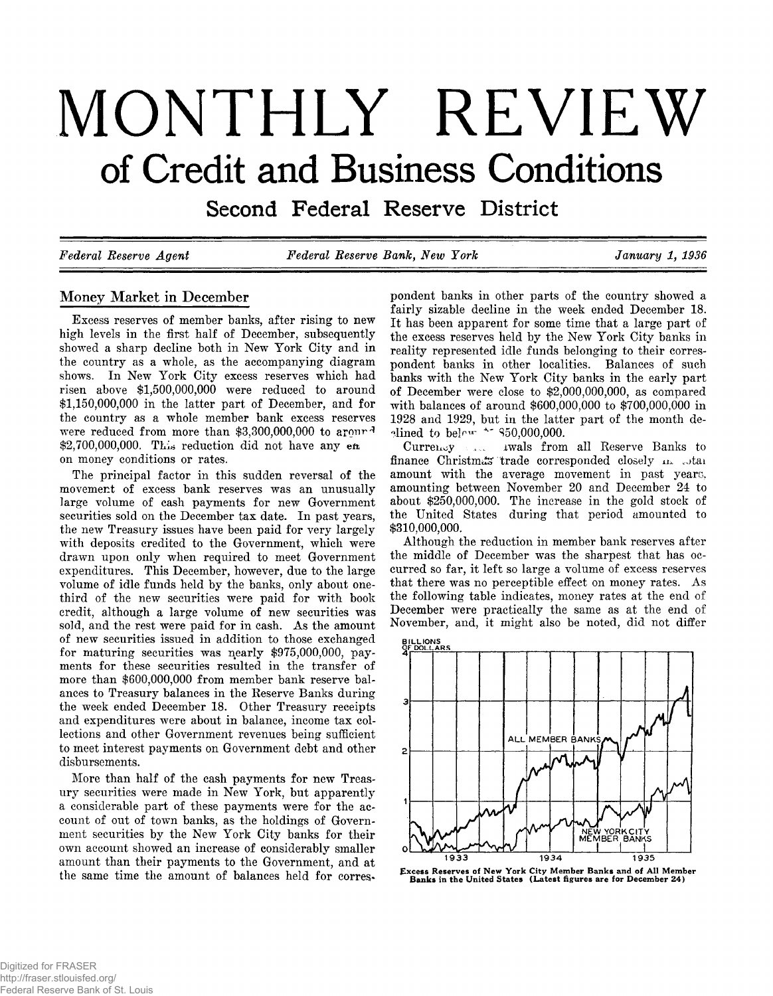# **MONTHLY REVIEW of Credit and Business Conditions**

**Second Federal Reserve District**

*Federal Reserve Agent Federal Reserve Bank, New York January 1, 1936*

# **Money Market in December**

Excess reserves of member banks, after rising to new<br>high levels in the first half of December, subsequently<br>showed a sharp decline both in New York City and in<br>the country as a whole, as the accompanying diagram<br>shows. I

The principal factor in this sudden reversal of the<br>movement of excess bank reserves was an unusually<br>large volume of eash payments for new Government<br>securities sold on the December tax date. In past years,<br>the new Treas

disbursements.<br>More than half of the cash payments for new Treas-<br>ury securities were made in New York, but apparently<br>a considerable part of these payments were for the ac-<br>count of out of town banks, as the holdings of G

pondent banks in other parts of the country showed a<br>fairly sizable decline in the week ended December 18.<br>It has been apparent for some time that a large part of<br>the excess reserves held by the New York City banks in<br>rea



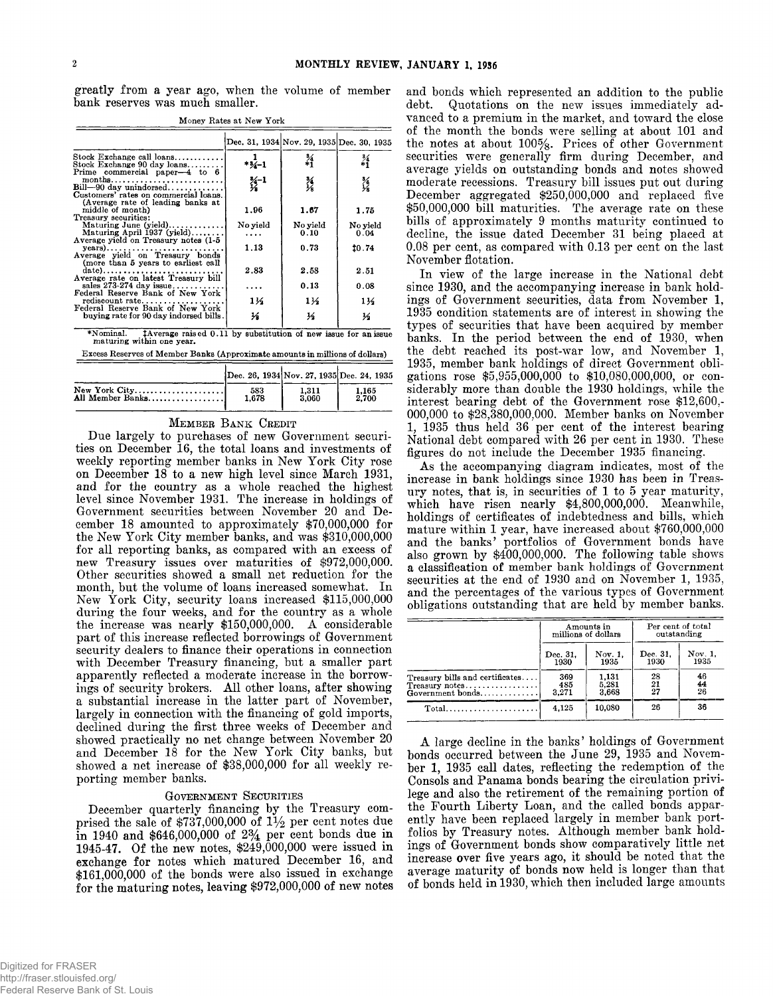**greatly from a year ago, when the volume of member bank reserves was much smaller.**

|                                                                                                                         |                             | Dec. 31, 1934 Nov. 29, 1935 Dec. 30, 1935 |                  |
|-------------------------------------------------------------------------------------------------------------------------|-----------------------------|-------------------------------------------|------------------|
| Stock Exchange call $\{loans, \ldots, \ldots, \ldots\}$<br>Stock Exchange 90 day loans<br>Prime commercial paper-4 to 6 | $*3/1$                      | 糸                                         | $\frac{3}{1}$    |
| months<br>Bill-90 day unindorsed<br>Customers' rates on commercial loans.                                               | $\frac{3}{2}$ <sup>-1</sup> | X                                         | 34<br>Ys         |
| (Average rate of leading banks at<br>middle of month)<br>Treasury securities:                                           | 1.96                        | 1.67                                      | 1.75             |
| Maturing June (yield)<br>Maturing April $1937$ (yield)<br>Average yield on Treasury notes (1-5)                         | No yield                    | No yield<br>0.10                          | No yield<br>0.04 |
| (more than 5 years to earliest call                                                                                     | 1.13                        | 0.73                                      | 10.74            |
| date)<br>Average rate on latest Treasury bill                                                                           | 2.83                        | 2.58                                      | 2.51             |
| sales $273-274$ day issue<br>Federal Reserve Bank of New York                                                           |                             | 0.13                                      | 0.08             |
| rediscount rate<br>Federal Reserve Bank of New York                                                                     | 11⁄2                        | 1½                                        | 1½               |
| buying rate for 90 day indorsed bills.                                                                                  | ₩                           | ⅓                                         | ⅓                |
|                                                                                                                         |                             |                                           |                  |

Money Rates at New York

\*Nominal. *†Average raised 0.11 by substitution of new issue for an issue maturing within one year.* Excess Reserves of Member Banks (Approximate amounts in millions of dollars)

|                  | Dec. 26, 1934 Nov. 27, 1935 Dec. 24, 1935 |       |       |
|------------------|-------------------------------------------|-------|-------|
| New York $City$  | 583                                       | 1.311 | 1.165 |
| All Member Banks | 1.678                                     | 3.060 | 2.700 |

MEMBER BANK CREDIT<br>Due largely to purchases of new Government securi-<br>ties on December 16, the total loans and investments of<br>weekly reporting member banks in New York City rose<br>on December 18 to a new high level since Ma

porting member banks.<br>
GOVERNMENT SECURITIES<br>
December quarterly financing by the Treasury com-<br>
prised the sale of \$737,000,000 of  $1\frac{1}{2}$  per cent notes due<br>
in 1940 and \$646,000,000 of  $2\frac{3}{4}$  per cent bonds due

and bonds which represented an addition to the public<br>debt. Quotations on the new issues immediately ad-<br>coarred to a premium in the market, and toward the close<br>oranced to a premium in the market, and toward the close<br>of

|                                                                          | Amounts in<br>millions of dollars |                         | Per cent of total<br>outstanding |                 |
|--------------------------------------------------------------------------|-----------------------------------|-------------------------|----------------------------------|-----------------|
|                                                                          | Dec. 31.<br>1930                  | Nov. 1.<br>1935         | Dec. 31.<br>1930                 | Nov. 1.<br>1935 |
| Treasury bills and certificates<br>$T$ reasury notes<br>Government bonds | 369<br>485<br>3.271               | 1,131<br>5.281<br>3,668 | 28<br>$\frac{21}{27}$            | 46<br>44<br>26  |
|                                                                          | 4.125                             | 10.080                  | 26                               | 36              |

A large decline in the banks' holdings of Government<br>bonds occurred between the June 29, 1935 and Novem-<br>ber 1, 1935 call dates, reflecting the redemption of the<br>Consols and Panama bonds bearing the circulation privi-<br>lege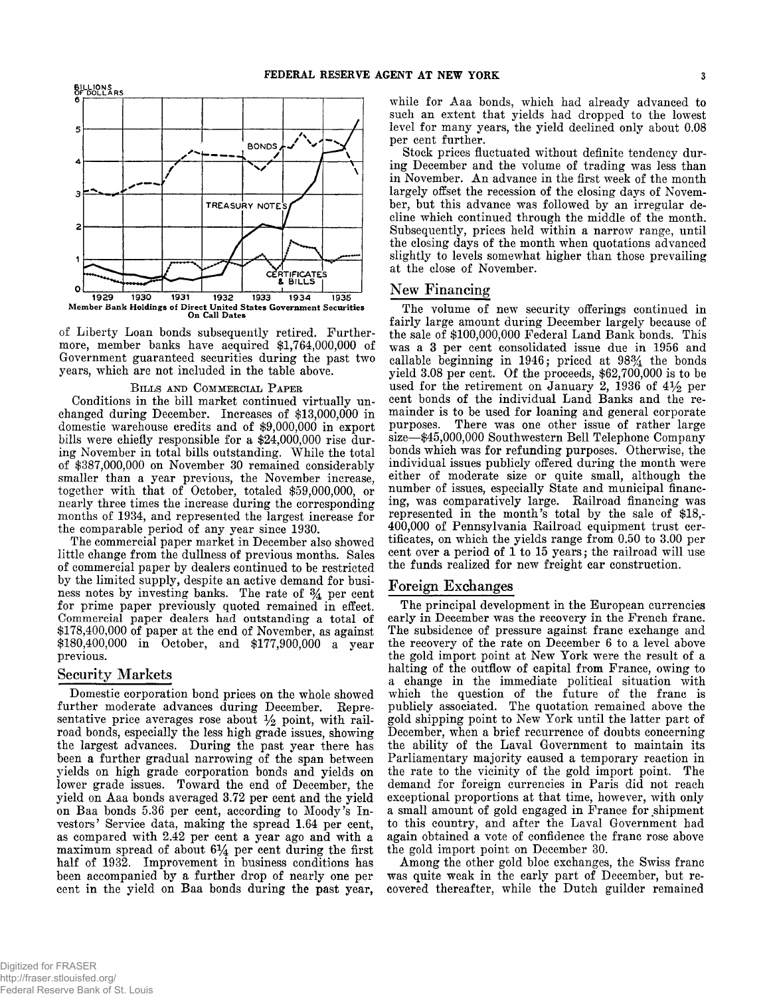

of Liberty Loan bonds subsequently retired. Furthermore, member banks have acquired \$1,764,000,000 of Government guaranteed securities during the past two years, which are not included in the table above.

BILLS AND COMMERCIAL PAPER<br>Conditions in the bill market continued virtually unchanged during December. Increases of \$13,000,000 in<br>domestic warehouse credits and of \$9,000,000 in export<br>bills were chiefly responsible for

#### **Security Markets**

Domestic corporation bond prices on the whole showed<br>further moderate advances during December. Repre-<br>sentative price averages rose about  $\frac{1}{2}$  point, with rail-<br>road bonds, especially the less high grade issues, sho

while for Aaa bonds, which had already advanced to<br>such an extent that yields had dropped to the lowest<br>level for many years, the yield declined only about 0.08<br>per cent further.<br>Stock prices fluctuated without definite te

# **New Financing**

The volume of new security offerings continued in<br>fairly large amount during December largely because of<br>the sale of \$100,000,000 Federal Land Bank bonds. This<br>was a 3 per cent consolidated issue due in 1956 and<br>callable

# **Foreign Exchanges**

The principal development in the European currencies<br>early in December was the recovery in the French franc.<br>The subsidence of pressure against franc exchange and<br>the recovery of the rate on December 6 to a level above<br>th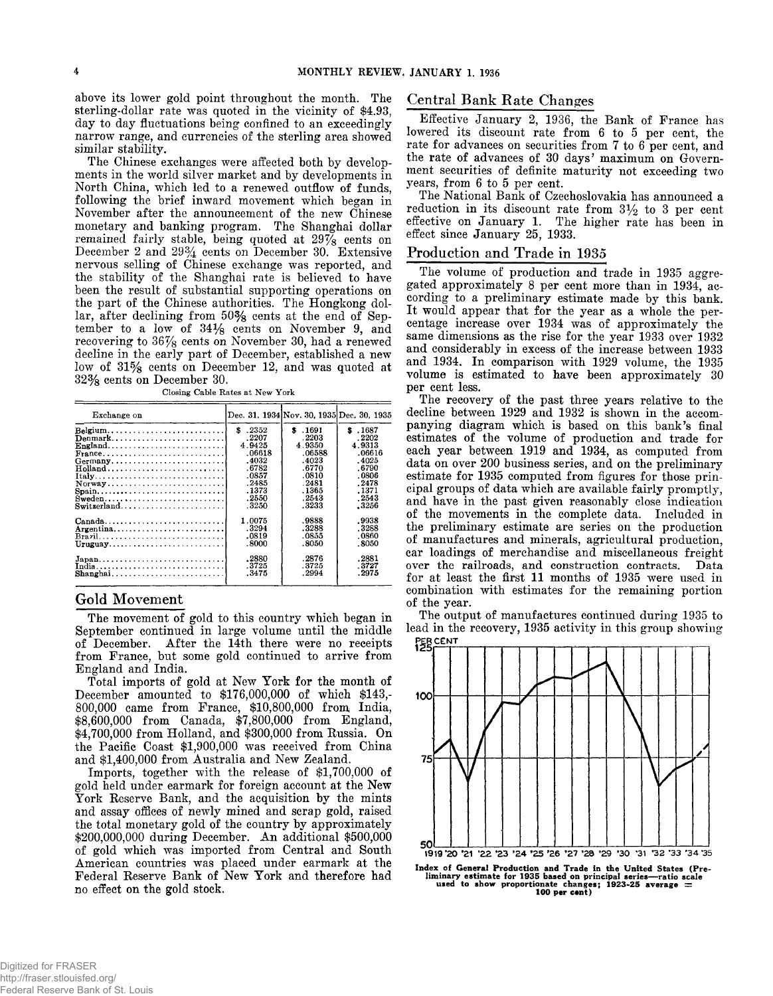above its lower gold point throughout the month. The<br>sterling-dollar rate was quoted in the vicinity of \$4.93,<br>day to day fluctuations being confined to an exceedingly<br>narrow range, and currencies of the sterling area sho

Closing Cable Rates at New York

| Exchange on                                                                             |         |               | Dec. 31, 1934 Nov. 30, 1935 Dec. 30, 1935 |
|-----------------------------------------------------------------------------------------|---------|---------------|-------------------------------------------|
|                                                                                         | \$ 2352 | <b>s</b> 1691 | \$ .1687                                  |
| Denmark                                                                                 | .2207   | .2203         | .2202                                     |
| $England. \ldots \ldots \ldots \ldots \ldots \ldots \ldots \ldots$                      | 4.9425  | 4.9350        | 4.9313                                    |
| $\text{France}, \ldots, \ldots, \ldots, \ldots, \ldots, \ldots, \ldots, \ldots, \ldots$ | .06618  | .06588        | .06616                                    |
| $Germany$                                                                               | .4032   | .4023         | .4025                                     |
|                                                                                         | .6782   | .6770         | .6790                                     |
|                                                                                         | .0857   | .0810         | .0806                                     |
| Norway                                                                                  | .2485   | .2481         | . 2478                                    |
|                                                                                         | . 1373  | .1365         | . 1371                                    |
| Sweden                                                                                  | .2550   | .2543         | .2543                                     |
|                                                                                         | .3250   | .3233         | - 3256                                    |
| $Canada, \ldots, \ldots, \ldots, \ldots, \ldots, \ldots, \ldots, \ldots)$               | 1.0075  | .9888         | .9938                                     |
| Argentina                                                                               | .3294   | .3288         | . 3288                                    |
| $Bravil, \ldots, \ldots, \ldots, \ldots, \ldots, \ldots, \ldots,$                       | .0819   | .0855         | .0860                                     |
| Uruguay                                                                                 | .8000   | .8050         | .8050                                     |
| Japan, , , , , ,                                                                        | .2880   | .2876         | .2881                                     |
| India                                                                                   | .3725   | -3725         | . 3727                                    |
|                                                                                         | . 3475  | .2994         | . 2975                                    |

#### Gold Movement

The movement of gold to this country which began in<br>September continued in large volume until the middle<br>of December. After the 14th there were no receipts<br>from France, but some gold continued to arrive from<br>England and I

## **Central Bank Rate Changes**

Effective January 2, 1936, the Bank of France has<br>lowered its discount rate from 6 to 5 per cent, the<br>rate for advances on securities from 7 to 6 per cent, and<br>the rate of advances of 30 days' maximum on Govern-<br>ment secu

#### Production and Trade in 1935

The volume of production and trade in 1935 aggregated approximately 8 per cent more than in 1934, ac-<br>cording to a preliminary estimate made by this bank.<br>It would appear that for the year as a whole the per-<br>entage incre



Index of General Production and Trade in the United States (Pre-<br>liminary estimate for 1935 based on principal series—ratio scale<br>used to show proportionate changes; 1923-25 average  $\equiv$ <br>100 per cent)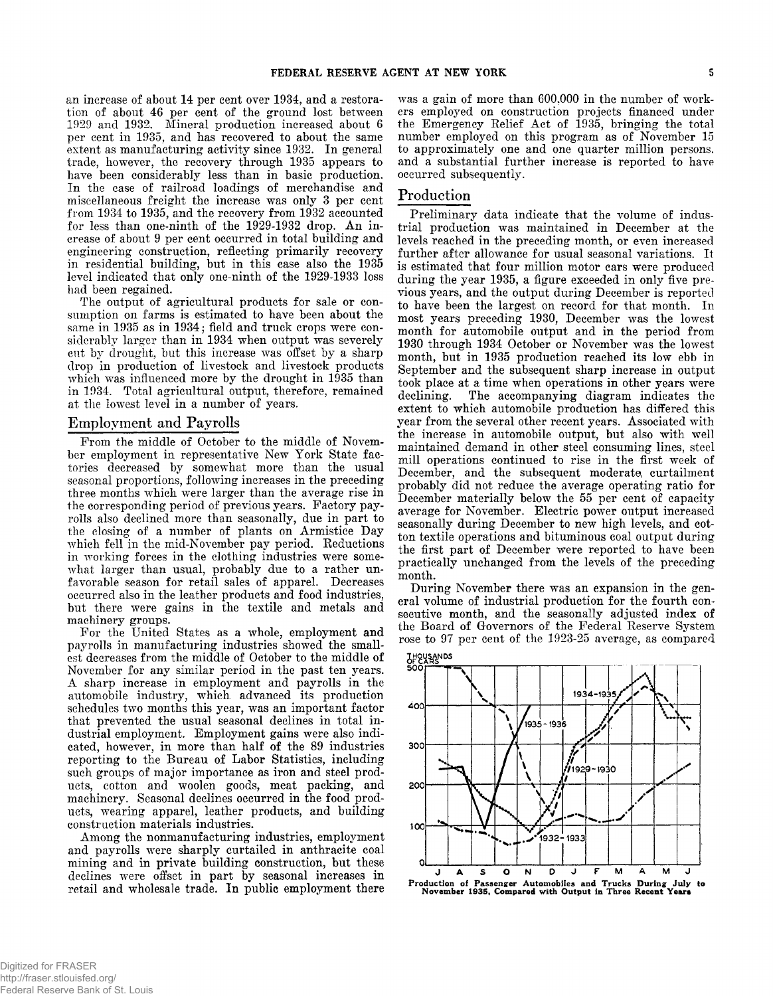an increase of about 14 per cent over 1934, and a restoration of about 46 per cent of the ground lost between 1929 and 1932. Mineral production increased about 6 per cent in 1935, and has recovered to about the same exten

## **Employment and Payrolls**

From the middle of October to the middle of Novem-<br>ber enployment in representative New York State fac-<br>tories decreased by somewhat more than the usual<br>seasonal proportions, following increases in the preceding<br>three mon

was a gain of more than 600,000 in the number of work-<br>ers employed on construction projects financed under<br>the Emergency Relief Act of 1935, bringing the total<br>number employed on this program as of November 15<br>to approxim

## **Production**

Preliminary data indicate that the volume of industrial production was maintained in December at the Volume ferred in the preceding month, or even increased further after allowance for usual seasonal variations. It is est

**secutive month, and the seasonally adjusted index of the Board of Governors of the Federal Reserve System rose to 97 per cent of the 1923-25 average, as compared**



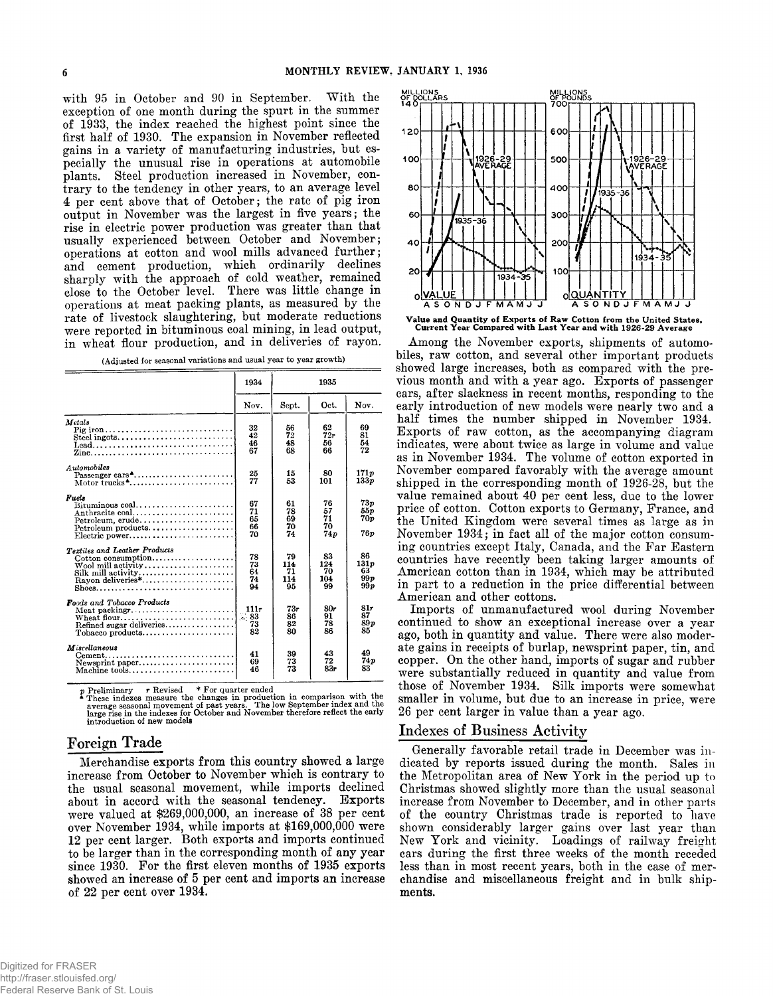with 95 in October and 90 in September. With the exception of one month during the spurt in the summer of 1933, the index reached the highest point since the first half of 1930. The expansion in November reflected gains in

|  |  | (Adjusted for seasonal variations and usual year to year growth, |  |  |  |  |
|--|--|------------------------------------------------------------------|--|--|--|--|
|--|--|------------------------------------------------------------------|--|--|--|--|

|                                                                                                                                                    | 1934                       |                              | 1935                         |                                 |
|----------------------------------------------------------------------------------------------------------------------------------------------------|----------------------------|------------------------------|------------------------------|---------------------------------|
|                                                                                                                                                    | Nov.                       | Sept.                        | Oct.                         | Nov.                            |
| Metals<br>Pig iron<br>Steel ingots<br>$\text{lead} \dots \dots \dots \dots \dots \dots \dots \dots \dots \dots \dots$<br>Zine                      | 32<br>42<br>46<br>67       | 56<br>72<br>48<br>68         | 62<br>72r<br>56<br>66        | 69<br>81<br>54<br>72            |
| Automobiles<br>Passenger cars <sup>4</sup><br>Motor trucks <sup>4</sup>                                                                            | 25<br>77                   | 15<br>53                     | 80<br>101                    | 171 <sub>p</sub><br>133p        |
| Fuels<br>Bituminous coal<br>Anthracite coal<br>Petroleum, crude<br>$Petroleum$ products<br>Electric power                                          | 67<br>71<br>65<br>66<br>70 | 61<br>78<br>69<br>70<br>74   | 76<br>57<br>71<br>70<br>74p  | 73p<br>55 p<br>70 p<br>76 о     |
| Textiles and Leather Products<br>$\text{Cottom}$ consumption<br>Wool mill activity<br>Silk mill activity<br>Rayon deliveries*<br>Shoes             | 78<br>73<br>64<br>74<br>94 | 79<br>114<br>71<br>114<br>95 | 83<br>124<br>70<br>104<br>99 | 86<br>131p<br>63<br>99p<br>99 p |
| <b>Foods and Tobacco Products</b><br>Meat packing $r$<br>Refined sugar deliveries<br>$To baseo products \dots \dots \dots \dots \dots \dots \dots$ | 111r<br>73<br>82           | 73r<br>86<br>82<br>80        | 80r<br>91<br>78<br>86        | 81r<br>87<br>89p<br>85          |
| <b>M</b> iscellaneous<br>Cement<br>Newsprint paper<br>Machine tools                                                                                | 41<br>69<br>46             | 39<br>73<br>73               | 43<br>72<br>83r              | 49<br>74 p<br>83                |

 $p$  Preliminary  $r$  Revised  $*$  For quarter ended<br>areas measure the changes in production in comparison with the<br>average seasonal movement of past years. The low September index and the<br>large rise in the indexes for Octob

## **Foreign Trade**

Merchandise exports from this country showed a large<br>increase from October to November which is contrary to<br>the usual seasonal movement, while imports declined<br>about in accord with the seasonal tendency. Exports<br>were valu



**Value and Quantity of Exports of Raw Cotton from the United States, Current Year Compared with Last Year and with 1926-29 Average**

Among the November exports, shipments of automo-<br>biles, raw cotton, and several other important products<br>showed large increases, both as compared with the pre-<br>vious month and with a year ago. Exports of passenger<br>ears, a

# **Indexes of Business Activity**

Generally favorable retail trade in December was in-<br>dicated by reports issued during the month. Sales in<br>the Metropolitan area of New York in the period up to<br>Christmas showed slightly more than the usual seasonal<br>increas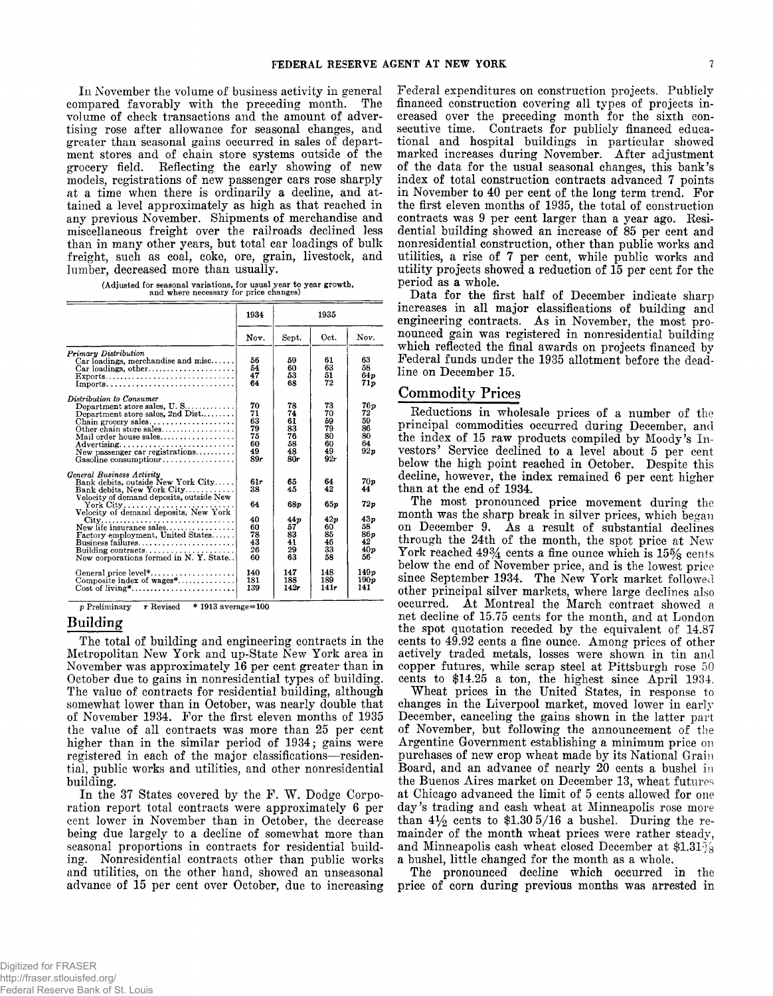In November the volume of business activity in general<br>compared favorably with the preceding month. The<br>volume of check transactions and the amount of adver-<br>tising rose after allowance for seasonal changes, and<br>greater th

(Adjusted for seasonal variations, for usual year to year growth, and where necessary for price changes)

|                                                                                                                                                                                                                                                                                                                                             | 1934                                                       |                                                              | 1935                                                        |                                                                         |
|---------------------------------------------------------------------------------------------------------------------------------------------------------------------------------------------------------------------------------------------------------------------------------------------------------------------------------------------|------------------------------------------------------------|--------------------------------------------------------------|-------------------------------------------------------------|-------------------------------------------------------------------------|
|                                                                                                                                                                                                                                                                                                                                             | Nov.                                                       | Sept.                                                        | Oct.                                                        | Nov.                                                                    |
| Primary Distribution<br>$Car$ loadings, merchandise and misc<br>$Car$ loadings, other<br>$Exports \ldots \ldots \ldots \ldots \ldots \ldots \ldots \ldots \ldots$                                                                                                                                                                           | 56<br>54<br>47<br>64                                       | 59<br>60<br>53<br>68                                         | 61<br>63<br>51<br>72                                        | 63<br>58<br>64p<br>71p                                                  |
| Distribution to Consumer<br>Department store sales, U.S<br>Department store sales, 2nd Dist<br>Chain grocery sales<br>Other chain store sales<br>Mail order house sales<br>Advertising<br>New passenger car registrations<br>Gasoline consumption $r_1, \ldots, \ldots, \ldots, \ldots$                                                     | 70<br>71<br>63<br>79<br>75<br>60<br>49<br>89r              | 78<br>74<br>61<br>83<br>76<br>58<br>48<br>80r                | 73<br>70<br>59<br>79<br>80<br>60<br>49<br>92r               | 76 p<br>72<br>59<br>86<br>80<br>64<br>92p                               |
| General Business Activity<br>Bank debits, outside New York City<br>Bank debits, New York City<br>Velocity of demand deposits, outside New<br>Velocity of demand deposits, New York<br>New life insurance sales<br>Factory employment, United States<br>$Bussness$ failures<br>New corporations formed in N.Y. State<br>General price level* | 61+<br>38<br>64<br>40<br>60<br>78<br>43<br>26<br>60<br>140 | 65<br>45<br>68p<br>44 p<br>57<br>83<br>41<br>29<br>63<br>147 | 64<br>42<br>650<br>42p<br>60<br>85<br>46<br>33<br>58<br>148 | 70 p<br>44<br>72p<br>43p<br>58<br><b>86p</b><br>42<br>40p<br>56<br>149p |
| Composite index of wages*<br>$Cost of living^*, \ldots, \ldots, \ldots, \ldots, \ldots, \ldots$                                                                                                                                                                                                                                             | 181<br>139                                                 | 188<br>142r                                                  | 189<br>141r                                                 | 190p<br>141                                                             |

p Prelim inary *r* Revised \* 1913 average=100

#### **Building**

The total of building and engineering contracts in the<br>Metropolitan New York and up-State New York area in<br>November was approximately 16 per cent greater than in<br>October due to gains in nonresidential types of building.<br>Th

Federal expenditures on construction projects. Publicly<br>financed construction covering all types of projects in-<br>creased over the preceding month for the sixth con-<br>seculive time. Contracts for publicly financed educa-<br>tio

#### **Commodity Prices**

Reductions in wholes<br>ale prices of a number of the principal comonlaties occurred during Becess<br>bere, and the index of 15 raw products compiled by Moody's Investors' Service declined to a level about 5 per cent below the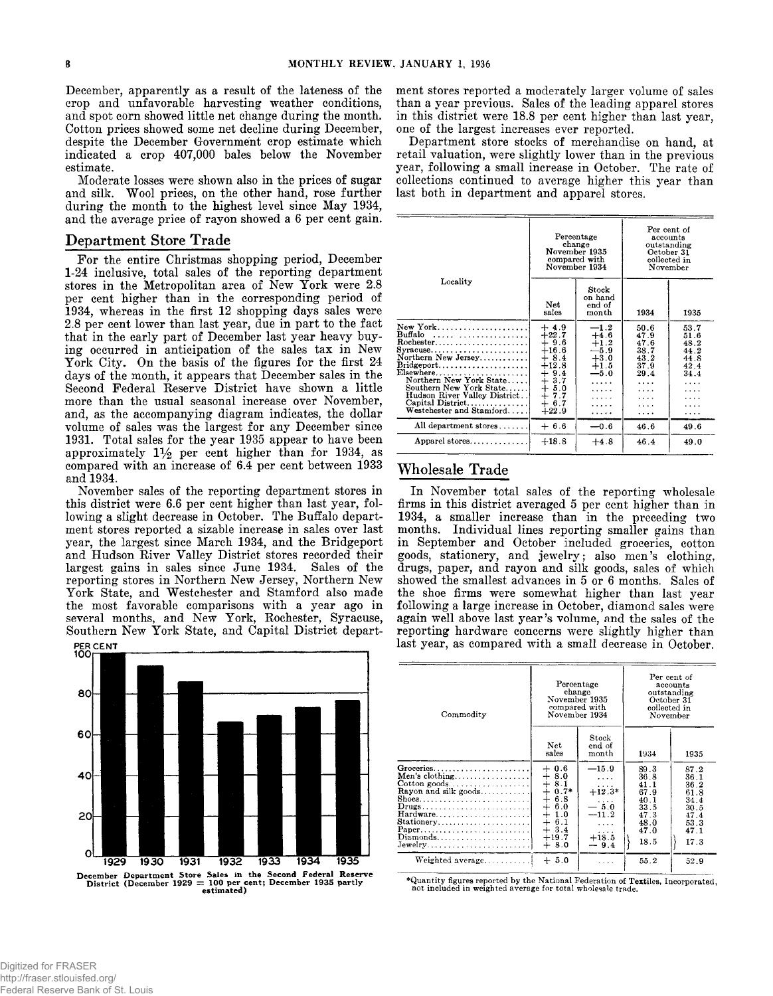December, apparently as a result of the lateness of the<br>crop and unfavorable harvesting weather conditions,<br>and spot corn showed little net change during the month.<br>Cotton prices showed some net decline during December,<br>de

#### **Department Store Trade**

For the entire Christmas shopping period, December<br>1-24 inclusive, total sales of the reporting department<br>sores in the Metropolitan area of New York were 2.8<br>per cent higher than in the corresponding period of<br>1934, wher



ment stores reported a moderately larger volume of sales<br>than a year previous. Sales of the leading apparel stores<br>in this district were 18.8 per cent higher than last year,<br>one of the largest increases ever reported.<br>Depa

|                                                                                                                                                                                                                                                                      |                                                                                                                                                                                | Percentage<br>change<br>November 1935<br>compared with<br>November 1934                                                            | Per cent of<br>accounts<br>outstanding<br>October 31<br>collected in<br>November |                                                                   |  |
|----------------------------------------------------------------------------------------------------------------------------------------------------------------------------------------------------------------------------------------------------------------------|--------------------------------------------------------------------------------------------------------------------------------------------------------------------------------|------------------------------------------------------------------------------------------------------------------------------------|----------------------------------------------------------------------------------|-------------------------------------------------------------------|--|
| Locality<br>New York<br>Buffalo<br>Rochester<br>$Syracuse \ldots \ldots \ldots \ldots$<br>Northern New Jersey<br>Elsewhere<br>Northern New York State<br>Southern New York State<br>Hudson River Valley District. .!<br>Capital District<br>Westchester and Stamford | Net<br>sales<br>$+4.9$<br>$+22.7$<br>$+9.6$<br>$+16.6$<br>$\begin{array}{c} + \phantom{0}8.4 \ +12.8 \end{array}$<br>$+9.4$<br>$+3.7$<br>$+5.0$<br>$+7.7$<br>$+6.7$<br>$+22.9$ | Stock<br>on hand<br>end of<br>month<br>$-1.2$<br>$+4.6$<br>$+1.2$<br>$-5.9$<br>$+3.0$<br>$+1.5$<br>$-5.0$<br>.<br>.<br>.<br>.<br>. | 1934<br>50.6<br>47.9<br>47.6<br>38.7<br>43.2<br>37.9<br>29.4<br>.<br>.<br>.<br>. | 1935<br>53.7<br>51.6<br>48.2<br>44.2<br>44.8<br>42.4<br>34.4<br>. |  |
| All department stores                                                                                                                                                                                                                                                | $+6.6$                                                                                                                                                                         | $-0.6$                                                                                                                             | 46.6                                                                             | 49.6                                                              |  |
| Apparel stores                                                                                                                                                                                                                                                       | $+18.8$                                                                                                                                                                        | $+4.8$                                                                                                                             | 46.4                                                                             | 49.0                                                              |  |

# **Wholesale Trade**

In November total sales of the reporting wholesale<br>firms in this district averaged 5 per cent higher than in<br>1934, a smaller increase than in the preceding two<br>months. Individual lines reporting smaller gains than<br>in Septe

| Commodity                                                                                                                                                                                            | Percentage<br>change<br>November 1935<br>compared with<br>November 1934                                         |                                                                                                | Per cent of<br>accounts<br>outstanding<br>October 31<br>collected in<br>November |                                                                              |
|------------------------------------------------------------------------------------------------------------------------------------------------------------------------------------------------------|-----------------------------------------------------------------------------------------------------------------|------------------------------------------------------------------------------------------------|----------------------------------------------------------------------------------|------------------------------------------------------------------------------|
|                                                                                                                                                                                                      | Net<br>sales                                                                                                    | Stock<br>end of<br>month                                                                       | 1934                                                                             | 1935                                                                         |
| Men's clothing<br>$\footnotesize \textsf{Cottom~goods.}\dots\dots\dots\dots\dots\dots$<br>Rayon and silk goods<br>Drugs<br>Hardware<br>$Stationery, \ldots, \ldots, \ldots, \ldots, \ldots$<br>Paper | $+0.6$<br>$+8.0$<br>$+8.1$<br>$+0.7*$<br>$+6.8$<br>∔<br>6.0<br>$+1.0$<br>$+ 6.1$<br>$+3.4$<br>$+19.7$<br>$+8.0$ | $-15.9$<br>$\cdots$<br>.<br>$+12.3*$<br>$-50$<br>$-11.2$<br>$\cdots$<br>.<br>$+18.5$<br>$-9.4$ | 89.3<br>36.8<br>41 1<br>67.9<br>40.1<br>33.5<br>47.3<br>48.0<br>47.0<br>18.5     | 87.2<br>36.1<br>36.2<br>61.8<br>34.4<br>30.5<br>47.4<br>53.3<br>47.1<br>17.3 |
| Weighted average                                                                                                                                                                                     | $+5.0$                                                                                                          |                                                                                                | 55.2                                                                             | 52.9                                                                         |

**^Quantity figures reported by the National Federation of Textiles, Incorporated, not included in weighted average for total wholesale trade.**